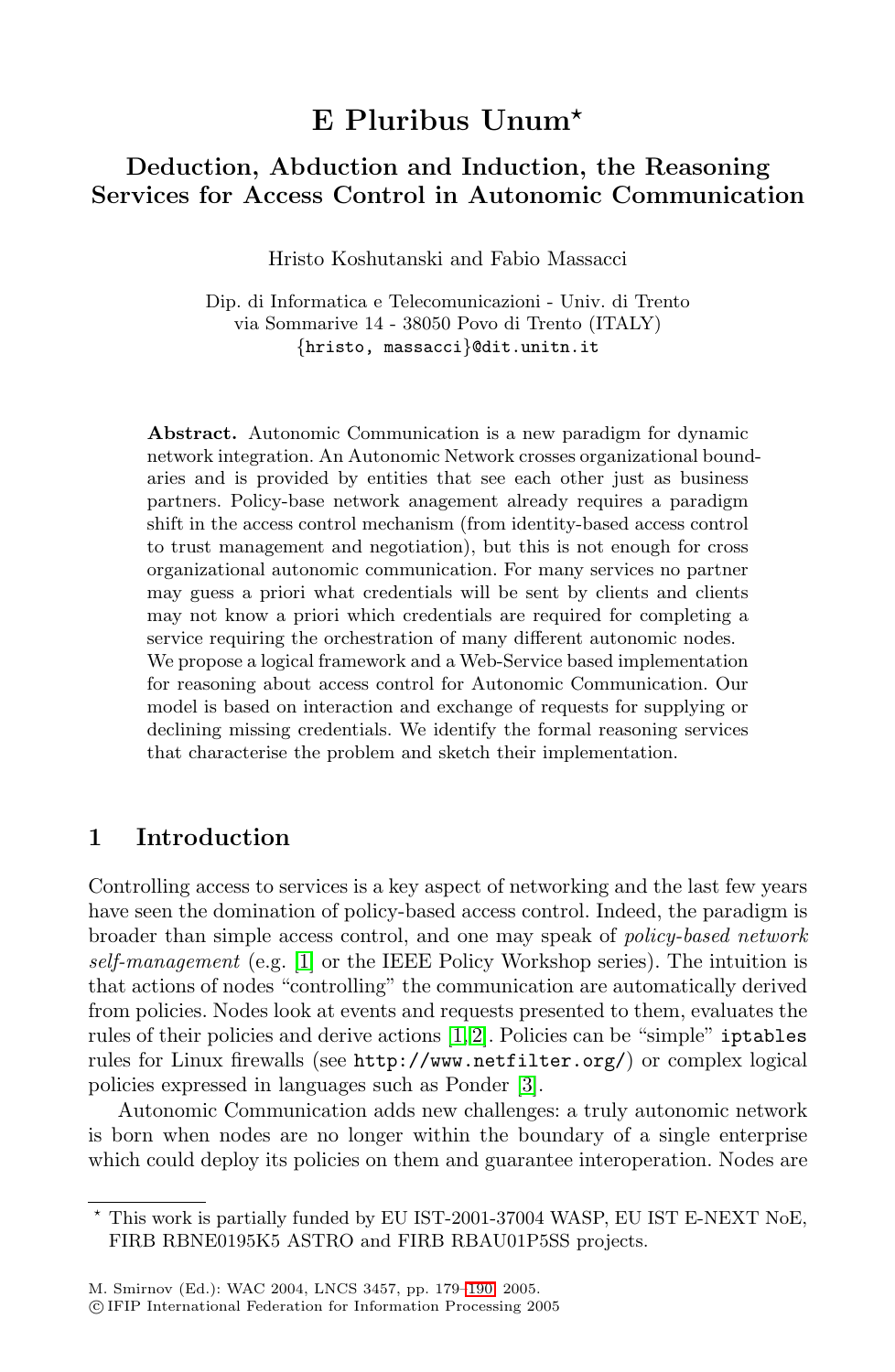# $E$  Pluribus Unum<sup>\*</sup>

## Deduction, Abduction and Induction, the Reasoning Services for Access Control in Autonomic Communication

Hristo Koshutanski and Fabio Massacci

Dip. di Informatica e Telecomunicazioni - Univ. di Trento via Sommarive 14 - 38050 Povo di Trento (ITALY) {hristo, massacci}@dit.unitn.it

Abstract. Autonomic Communication is a new paradigm for dynamic network integration. An Autonomic Network crosses organizational boundaries and is provided by entities that see each other just as business partners. Policy-base network anagement already requires a paradigm shift in the access control mechanism (from identity-based access control to trust management and negotiation), but this is not enough for cross organizational autonomic communication. For many services no partner may guess a priori what credentials will be sent by clients and clients may not know a priori which credentials are required for completing a service requiring the orchestration of many different autonomic nodes. We propose a logical framework and a Web-Service based implementation for reasoning about access control for Autonomic Communication. Our model is based on interaction and exchange of requests for supplying or declining missing credentials. We identify the formal reasoning services that characterise the problem and sketch their implementation.

## 1 Introduction

Controlling access to services is a key aspect of networking and the last few years have seen the domination of policy-based access control. Indeed, the paradigm is broader than simple access control, and one may speak of policy-based network self-management (e.g. [\[1\]](#page-11-0) or the IEEE Policy Workshop series). The intuition is that actions of nodes "controlling" the communication are automatically derived from policies. Nodes look at events and requests presented to them, evaluates the rules of their policies and derive actions [\[1,](#page-11-0) [2\]](#page-11-1). Policies can be "simple" iptables rules for Linux firewalls (see http://www.netfilter.org/) or complex logical policies expressed in languages such as Ponder [\[3\]](#page-11-2).

Autonomic Communication adds new challenges: a truly autonomic network is born when nodes are no longer within the boundary of a single enterprise which could deploy its policies on them and guarantee interoperation. Nodes are

<sup>⋆</sup> This work is partially funded by EU IST-2001-37004 WASP, EU IST E-NEXT NoE, FIRB RBNE0195K5 ASTRO and FIRB RBAU01P5SS projects.

<sup>°</sup>c IFIP International Federation for Information Processing 2005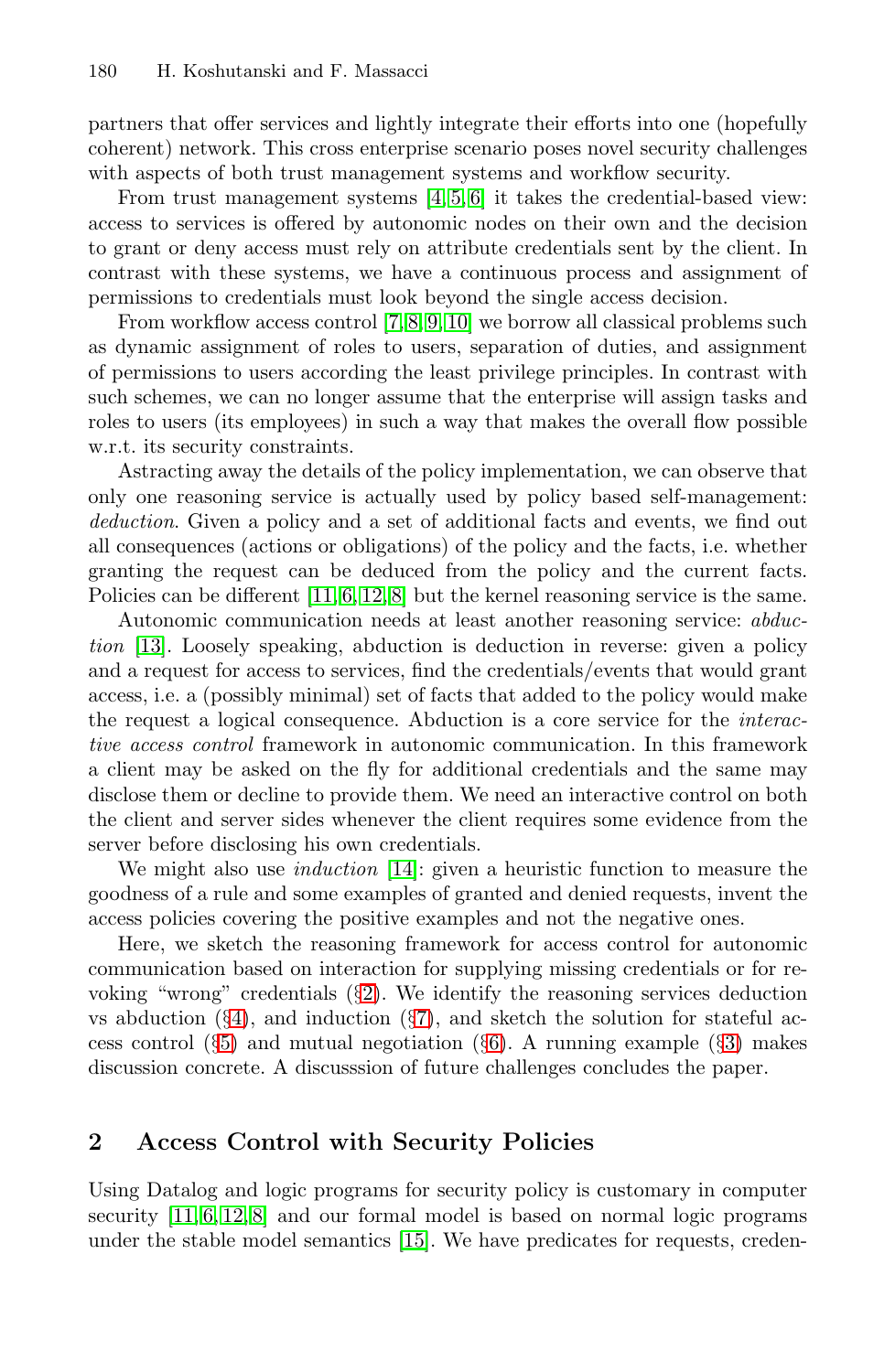partners that offer services and lightly integrate their efforts into one (hopefully coherent) network. This cross enterprise scenario poses novel security challenges with aspects of both trust management systems and workflow security.

From trust management systems  $[4, 5, 6]$  $[4, 5, 6]$  $[4, 5, 6]$  it takes the credential-based view: access to services is offered by autonomic nodes on their own and the decision to grant or deny access must rely on attribute credentials sent by the client. In contrast with these systems, we have a continuous process and assignment of permissions to credentials must look beyond the single access decision.

From workflow access control [\[7,](#page-11-7) [8,](#page-11-8) [9,](#page-11-9) [10\]](#page-11-10) we borrow all classical problems such as dynamic assignment of roles to users, separation of duties, and assignment of permissions to users according the least privilege principles. In contrast with such schemes, we can no longer assume that the enterprise will assign tasks and roles to users (its employees) in such a way that makes the overall flow possible w.r.t. its security constraints.

Astracting away the details of the policy implementation, we can observe that only one reasoning service is actually used by policy based self-management: deduction. Given a policy and a set of additional facts and events, we find out all consequences (actions or obligations) of the policy and the facts, i.e. whether granting the request can be deduced from the policy and the current facts. Policies can be different  $[11, 6, 12, 8]$  $[11, 6, 12, 8]$  $[11, 6, 12, 8]$  $[11, 6, 12, 8]$  but the kernel reasoning service is the same.

Autonomic communication needs at least another reasoning service: abduction [\[13\]](#page-11-13). Loosely speaking, abduction is deduction in reverse: given a policy and a request for access to services, find the credentials/events that would grant access, i.e. a (possibly minimal) set of facts that added to the policy would make the request a logical consequence. Abduction is a core service for the interactive access control framework in autonomic communication. In this framework a client may be asked on the fly for additional credentials and the same may disclose them or decline to provide them. We need an interactive control on both the client and server sides whenever the client requires some evidence from the server before disclosing his own credentials.

We might also use *induction* [\[14\]](#page-11-14): given a heuristic function to measure the goodness of a rule and some examples of granted and denied requests, invent the access policies covering the positive examples and not the negative ones.

Here, we sketch the reasoning framework for access control for autonomic communication based on interaction for supplying missing credentials or for revoking "wrong" credentials  $(\S 2)$  $(\S 2)$ . We identify the reasoning services deduction vs abduction  $(\S4)$  $(\S4)$ , and induction  $(\S7)$  $(\S7)$ , and sketch the solution for stateful access control  $(\S 5)$  $(\S 5)$  and mutual negotiation  $(\S 6)$  $(\S 6)$ . A running example  $(\S 3)$  $(\S 3)$  makes discussion concrete. A discusssion of future challenges concludes the paper.

### <span id="page-1-0"></span>2 Access Control with Security Policies

Using Datalog and logic programs for security policy is customary in computer security  $[11, 6, 12, 8]$  $[11, 6, 12, 8]$  $[11, 6, 12, 8]$  $[11, 6, 12, 8]$  and our formal model is based on normal logic programs under the stable model semantics [\[15\]](#page-11-15). We have predicates for requests, creden-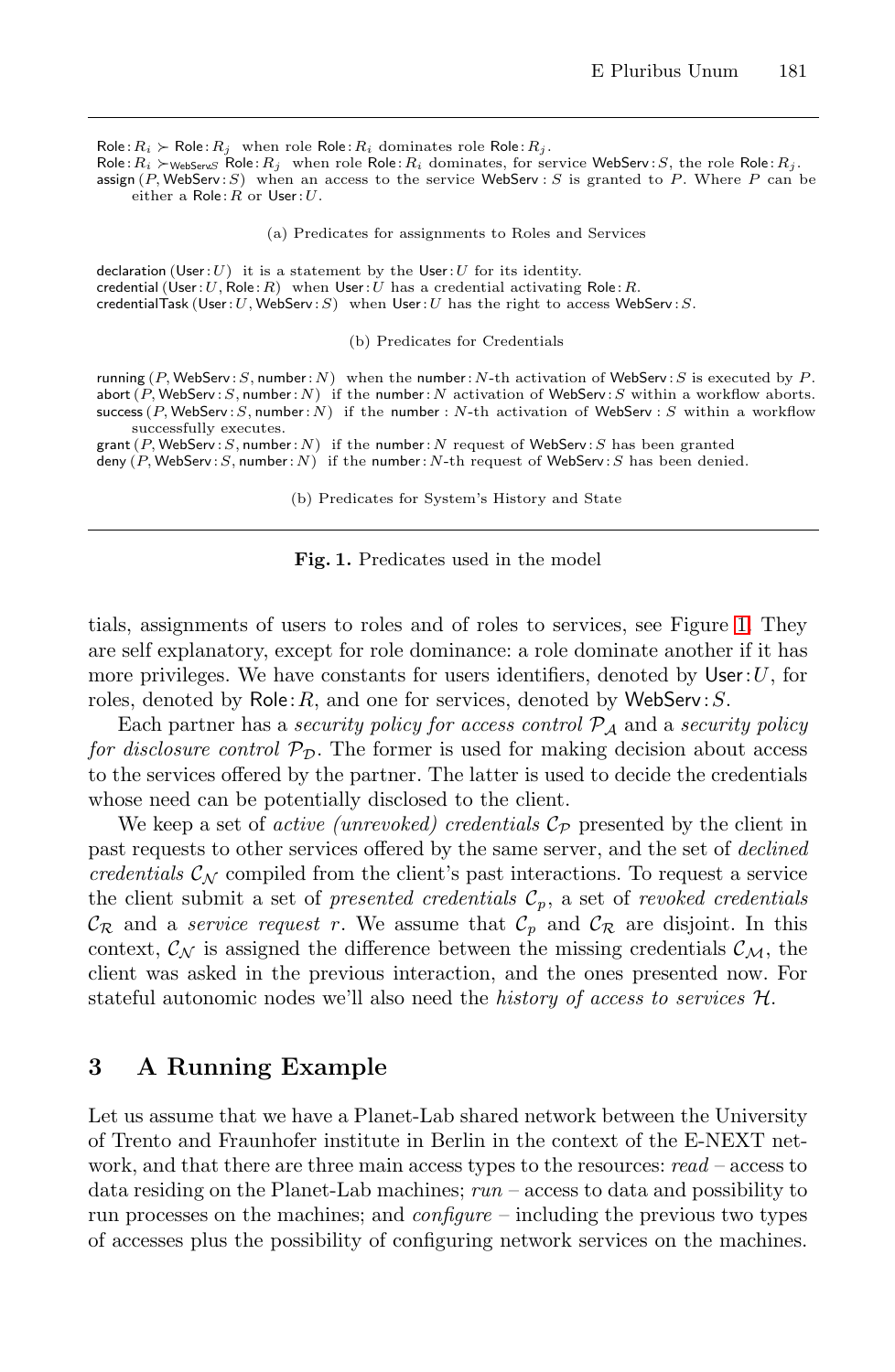Role:  $R_i \succ \textsf{Role}: R_j$  when role Role:  $R_i$  dominates role Role:  $R_j$ . Role:  $R_i \succ_{\text{WebServ}:S}$  Role:  $R_j$  when role Role:  $R_i$  dominates, for service WebServ: S, the role Role:  $R_j$ . assign (P, WebServ : S) when an access to the service WebServ : S is granted to P. Where P can be either a Role:  $R$  or User:  $U$ .

(a) Predicates for assignments to Roles and Services

declaration  $(\mathsf{User}\colon\! U)$  it is a statement by the  $\mathsf{User}\colon\! U$  for its identity. credential (User:  $U$ , Role:  $R$ ) when User:  $U$  has a credential activating Role:  $R$ .  ${\sf credentialTask}\left({\sf User}:U,{\sf WebServer}:S\right)$  when  ${\sf User}:U$  has the right to access  ${\sf WebServer}:S.$ 

(b) Predicates for Credentials

running  $(P, \text{WebServ}:S, \text{number}:N)$  when the number: N-th activation of WebServ: S is executed by P. abort  $(P, \text{WebServ}:S, \text{number}:N)$  if the number: N activation of WebServ: S within a workflow aborts. success (P, WebServ: S, number: N) if the number: N-th activation of WebServ : S within a workflow successfully executes.

grant  $(P, \text{WebServ}:S, \text{number}:N)$  if the number: N request of WebServ: S has been granted deny  $(P, \text{WebServ}:S, \text{number}:N)$  if the number: N-th request of WebServ: S has been denied.

(b) Predicates for System's History and State

<span id="page-2-1"></span>Fig. 1. Predicates used in the model

tials, assignments of users to roles and of roles to services, see Figure [1.](#page-2-1) They are self explanatory, except for role dominance: a role dominate another if it has more privileges. We have constants for users identifiers, denoted by  $\mathsf{User}: U$ , for roles, denoted by  $\textsf{Role}:R$ , and one for services, denoted by WebServ: S.

Each partner has a security policy for access control  $P_A$  and a security policy for disclosure control  $\mathcal{P}_{\mathcal{D}}$ . The former is used for making decision about access to the services offered by the partner. The latter is used to decide the credentials whose need can be potentially disclosed to the client.

We keep a set of *active (unrevoked)* credentials  $\mathcal{C}_{\mathcal{P}}$  presented by the client in past requests to other services offered by the same server, and the set of declined credentials  $\mathcal{C}_{\mathcal{N}}$  compiled from the client's past interactions. To request a service the client submit a set of presented credentials  $\mathcal{C}_p$ , a set of revoked credentials  $\mathcal{C}_{\mathcal{R}}$  and a service request r. We assume that  $\mathcal{C}_p$  and  $\mathcal{C}_{\mathcal{R}}$  are disjoint. In this context,  $\mathcal{C}_{\mathcal{N}}$  is assigned the difference between the missing credentials  $\mathcal{C}_{\mathcal{M}}$ , the client was asked in the previous interaction, and the ones presented now. For stateful autonomic nodes we'll also need the *history of access to services*  $H$ .

### <span id="page-2-0"></span>3 A Running Example

Let us assume that we have a Planet-Lab shared network between the University of Trento and Fraunhofer institute in Berlin in the context of the E-NEXT network, and that there are three main access types to the resources:  $read$  – access to data residing on the Planet-Lab machines;  $run$  – access to data and possibility to run processes on the machines; and configure – including the previous two types of accesses plus the possibility of configuring network services on the machines.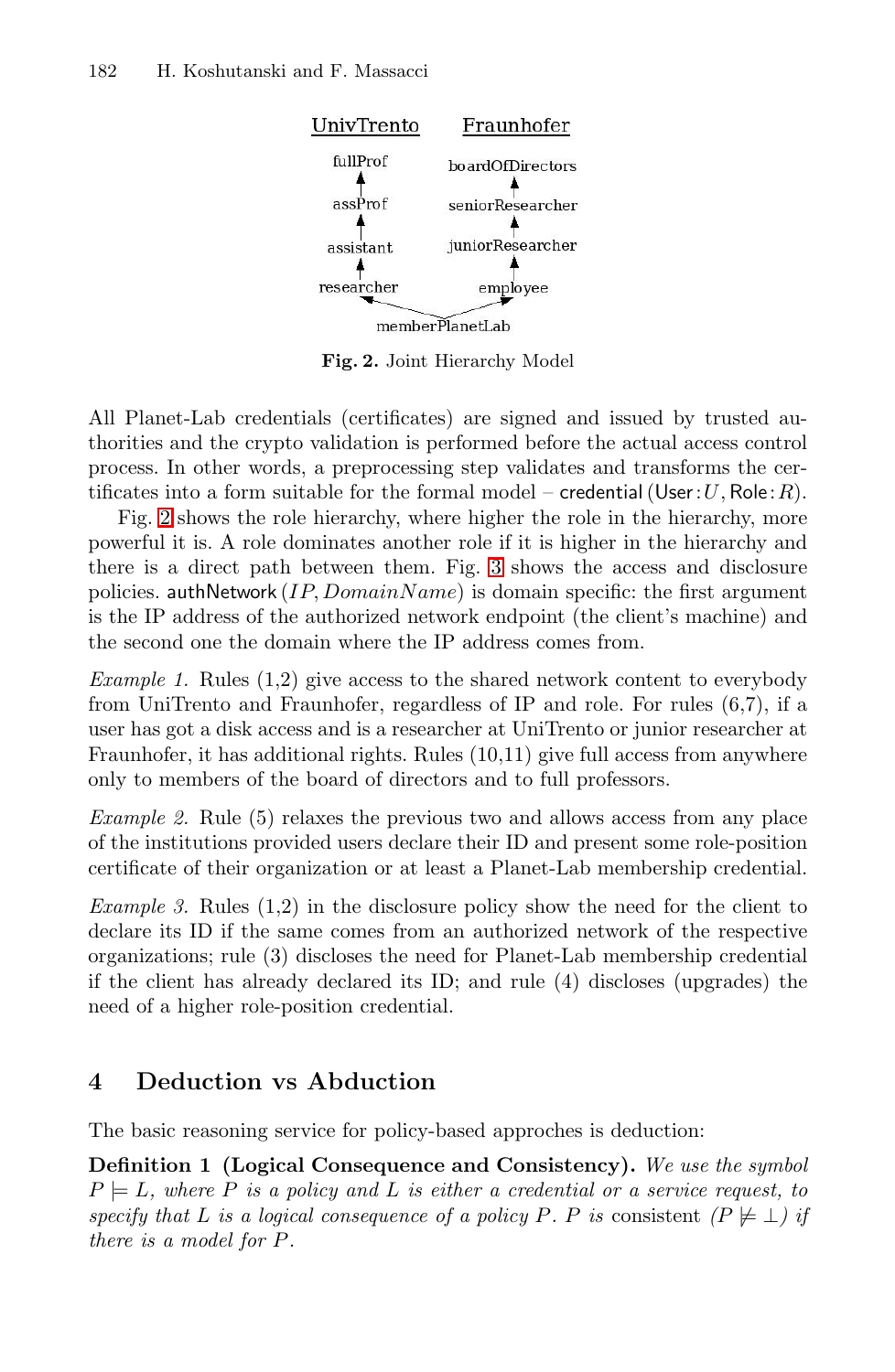

<span id="page-3-1"></span>Fig. 2. Joint Hierarchy Model

All Planet-Lab credentials (certificates) are signed and issued by trusted authorities and the crypto validation is performed before the actual access control process. In other words, a preprocessing step validates and transforms the certificates into a form suitable for the formal model – credential (User:  $U$ , Role:  $R$ ).

Fig. [2](#page-3-1) shows the role hierarchy, where higher the role in the hierarchy, more powerful it is. A role dominates another role if it is higher in the hierarchy and there is a direct path between them. Fig. [3](#page-4-0) shows the access and disclosure policies. authNetwork  $(IP, DomainName)$  is domain specific: the first argument is the IP address of the authorized network endpoint (the client's machine) and the second one the domain where the IP address comes from.

*Example 1.* Rules  $(1,2)$  give access to the shared network content to everybody from UniTrento and Fraunhofer, regardless of IP and role. For rules (6,7), if a user has got a disk access and is a researcher at UniTrento or junior researcher at Fraunhofer, it has additional rights. Rules (10,11) give full access from anywhere only to members of the board of directors and to full professors.

Example 2. Rule (5) relaxes the previous two and allows access from any place of the institutions provided users declare their ID and present some role-position certificate of their organization or at least a Planet-Lab membership credential.

*Example 3.* Rules  $(1,2)$  in the disclosure policy show the need for the client to declare its ID if the same comes from an authorized network of the respective organizations; rule (3) discloses the need for Planet-Lab membership credential if the client has already declared its ID; and rule (4) discloses (upgrades) the need of a higher role-position credential.

# <span id="page-3-0"></span>4 Deduction vs Abduction

The basic reasoning service for policy-based approches is deduction:

Definition 1 (Logical Consequence and Consistency). We use the symbol  $P \models L$ , where P is a policy and L is either a credential or a service request, to specify that L is a logical consequence of a policy P. P is consistent  $(P \not\models \bot)$  if there is a model for P.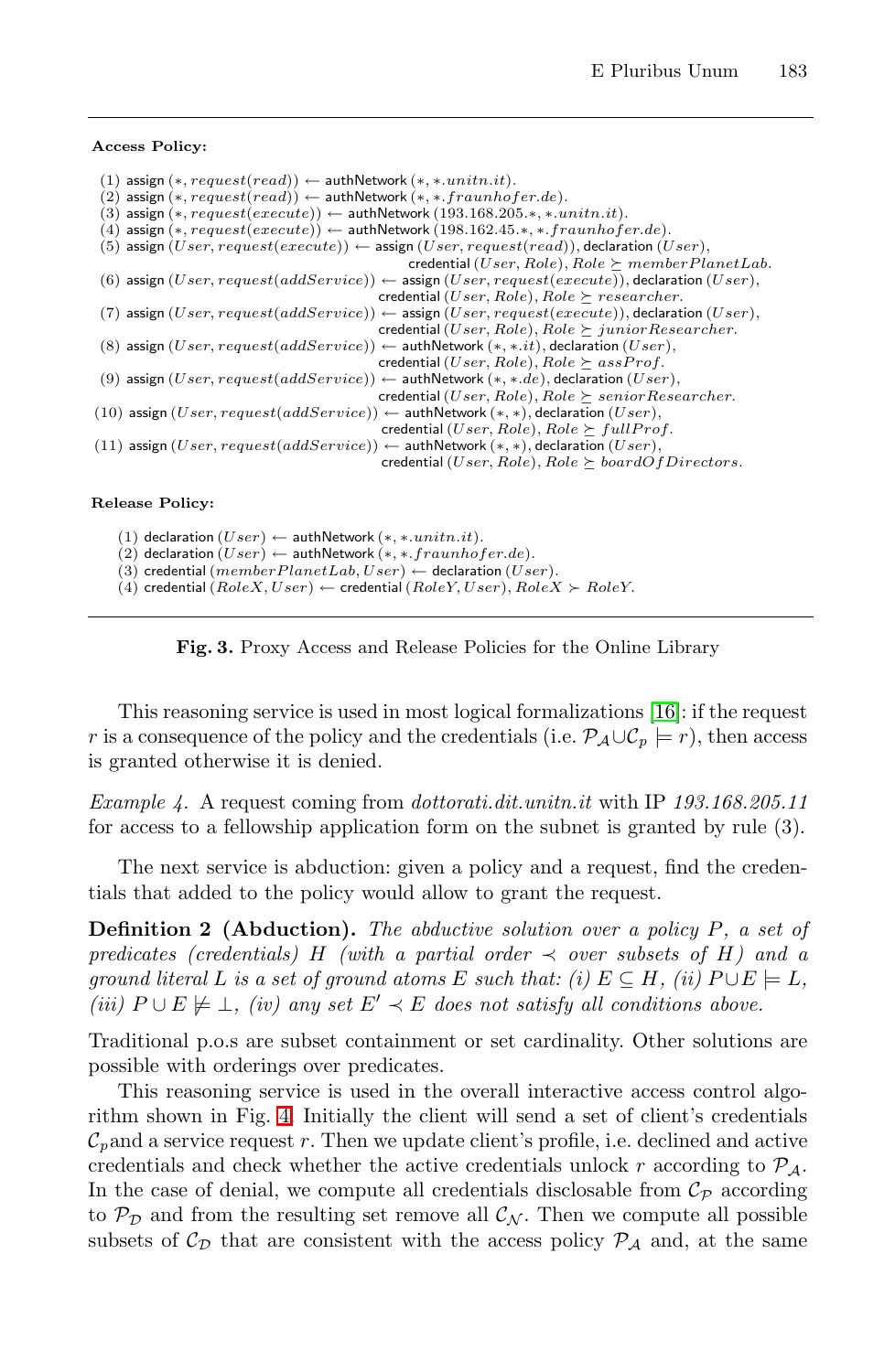#### Access Policy:

```
(1) assign (*, request(head)) \leftarrow \text{authNetwork}(*, * .unitn.it).(2) assign (*, request (read)) \leftarrow authNetwork (*, *. fraunhofer.de).
 (3) assign (*, request(execute)) \leftarrow \text{authNetwork}(193.168.205.*, * .unitn.it).(4) assign (*, request(execute)) \leftarrow authNetwork (198.162.45.*, *.fraunhofer.de).
 (5) assign (User, request(exacute)) \leftarrow assign (User, request(recd)), declaration (User),
                                                       credential (User, Role), Role \succeq memberPlanetLab.
(6) \textsf{assign}(\textit{User}, \textit{request}(\textit{addService})) \leftarrow \textsf{assign}(\textit{User}, \textit{request}(\textit{execute})) , \textsf{declaration}(\textit{User}),credential (User, Role), Role \succeq researcher.
(7) \text{assign}(User, request(addService)) \leftarrow \text{assign}(User, request(execute)), \text{ declaration}(User),credential (User, Role), Role \succeq juniorResearcher.
(8) assign (User, request(addService)) \leftarrow \text{authNetwork}(*, * .it), \text{ declaration } (User),credential (User, Role), Role \succeq assProf.(9) assign (User, request(addService)) \leftarrow authNetwork (*, *de), declaration (User).
                                                  credential (User, Role), Role \succeq seniorResearcher.(10) assign (User, request(addService)) \leftarrow \text{authNetwork}(*, *), \text{ declaration} (User),credential (User, Role), Role \succeq fullProf.
(11) assign (User, request(addService)) \leftarrow \textsf{authNetwork}(*, *), \textsf{declaration} (User).
                                                  credential (User, Role), Role \succ boardOfDirections.
```
#### Release Policy:

```
(1) declaration (User) \leftarrow \text{authNetwork}(*, * .unitn.it).(2) declaration (User) \leftarrow \text{authNetwork}(*, *.fraunhofer.de).
(3) credential (memberPlanetLab, User) \leftarrow declaration (User).
(4) credential (RoleX, User) \leftarrow credential (RoleY, User), RoleX \succ RoleY.
```
Fig. 3. Proxy Access and Release Policies for the Online Library

<span id="page-4-0"></span>This reasoning service is used in most logical formalizations [\[16\]](#page-11-16): if the request r is a consequence of the policy and the credentials (i.e.  $\mathcal{P}_{\mathcal{A}} \cup \mathcal{C}_{p} \models r$ ), then access is granted otherwise it is denied.

Example 4. A request coming from *dottorati.dit.unitn.it* with IP 193.168.205.11 for access to a fellowship application form on the subnet is granted by rule (3).

The next service is abduction: given a policy and a request, find the credentials that added to the policy would allow to grant the request.

Definition 2 (Abduction). The abductive solution over a policy P, a set of predicates (credentials) H (with a partial order  $\prec$  over subsets of H) and a ground literal L is a set of ground atoms E such that: (i)  $E \subseteq H$ , (ii)  $P \cup E \models L$ , (iii)  $P \cup E \not\models \bot$ , (iv) any set  $E' \prec E$  does not satisfy all conditions above.

Traditional p.o.s are subset containment or set cardinality. Other solutions are possible with orderings over predicates.

This reasoning service is used in the overall interactive access control algorithm shown in Fig. [4.](#page-5-0) Initially the client will send a set of client's credentials  $\mathcal{C}_p$  and a service request r. Then we update client's profile, i.e. declined and active credentials and check whether the active credentials unlock r according to  $\mathcal{P}_{\mathcal{A}}$ . In the case of denial, we compute all credentials disclosable from  $\mathcal{C}_{\mathcal{P}}$  according to  $\mathcal{P}_{\mathcal{D}}$  and from the resulting set remove all  $\mathcal{C}_{\mathcal{N}}$ . Then we compute all possible subsets of  $\mathcal{C}_{\mathcal{D}}$  that are consistent with the access policy  $\mathcal{P}_{\mathcal{A}}$  and, at the same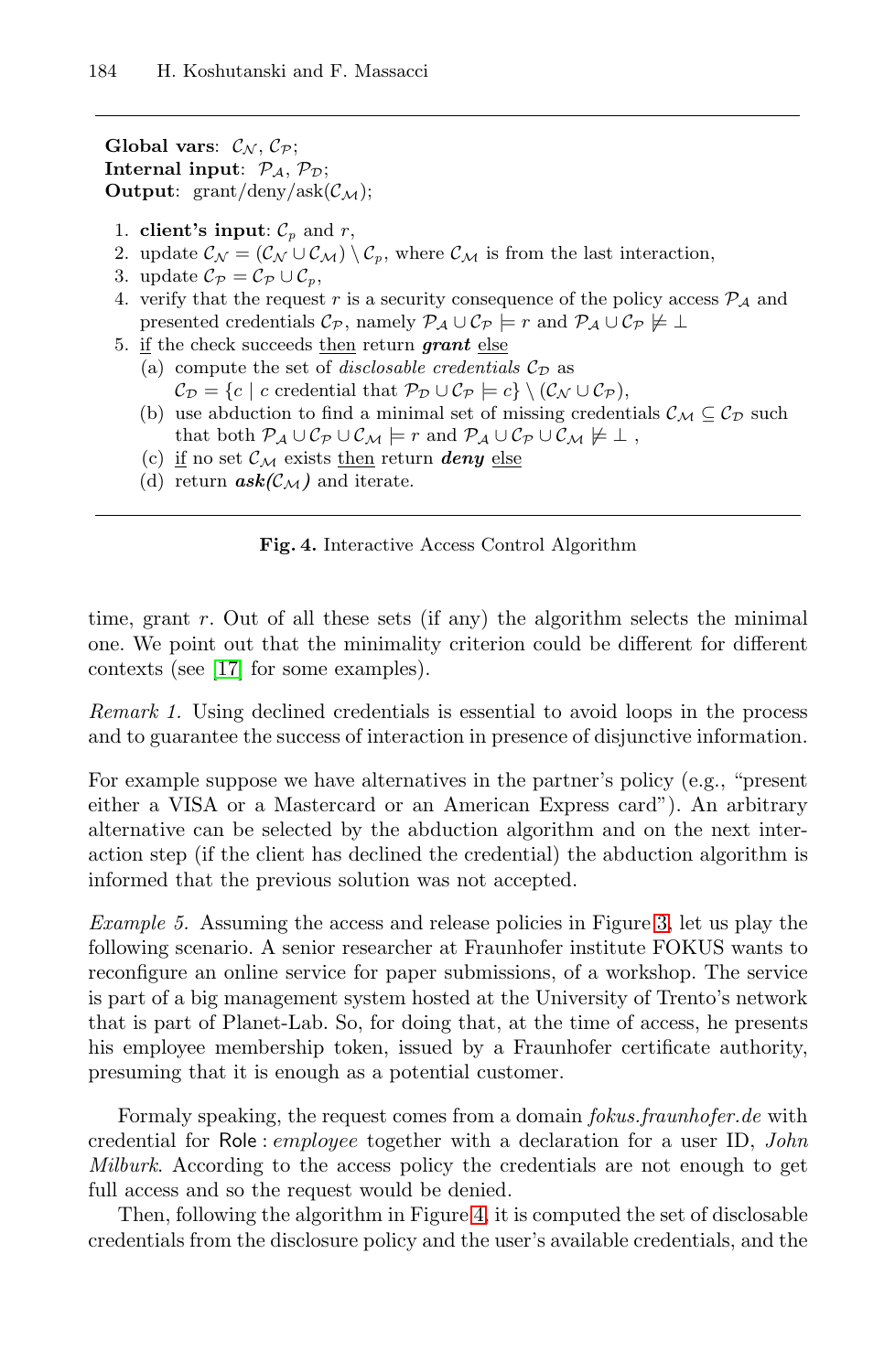Global vars:  $\mathcal{C}_{\mathcal{N}}$ ,  $\mathcal{C}_{\mathcal{P}}$ ; Internal input:  $\mathcal{P}_A$ ,  $\mathcal{P}_D$ ; **Output:** grant/deny/ask( $\mathcal{C}_{\mathcal{M}}$ );

- 1. client's input:  $\mathcal{C}_p$  and r,
- 2. update  $\mathcal{C}_{\mathcal{N}} = (\mathcal{C}_{\mathcal{N}} \cup \mathcal{C}_{\mathcal{M}}) \setminus \mathcal{C}_{p}$ , where  $\mathcal{C}_{\mathcal{M}}$  is from the last interaction,
- 3. update  $\mathcal{C}_{\mathcal{P}} = \mathcal{C}_{\mathcal{P}} \cup \mathcal{C}_{p}$ ,
- 4. verify that the request r is a security consequence of the policy access  $\mathcal{P}_{\mathcal{A}}$  and presented credentials  $\mathcal{C}_{\mathcal{P}}$ , namely  $\mathcal{P}_{\mathcal{A}} \cup \mathcal{C}_{\mathcal{P}} \models r$  and  $\mathcal{P}_{\mathcal{A}} \cup \mathcal{C}_{\mathcal{P}} \not\models \bot$
- 5. if the check succeeds then return grant else
	- (a) compute the set of disclosable credentials  $\mathcal{C}_{\mathcal{D}}$  as  $\mathcal{C}_{\mathcal{D}} = \{c \mid c \text{ credentials that } \mathcal{P}_{\mathcal{D}} \cup \mathcal{C}_{\mathcal{P}} \models c \} \setminus (\mathcal{C}_{\mathcal{N}} \cup \mathcal{C}_{\mathcal{P}}),$
	- (b) use abduction to find a minimal set of missing credentials  $\mathcal{C}_{\mathcal{M}} \subseteq \mathcal{C}_{\mathcal{D}}$  such that both  $\mathcal{P}_{\mathcal{A}} \cup \mathcal{C}_{\mathcal{P}} \cup \mathcal{C}_{\mathcal{M}} \models r$  and  $\mathcal{P}_{\mathcal{A}} \cup \mathcal{C}_{\mathcal{P}} \cup \mathcal{C}_{\mathcal{M}} \not\models \bot$ ,
	- (c) if no set  $\mathcal{C}_{\mathcal{M}}$  exists then return deny else
	- (d) return  $ask(\mathcal{C}_{\mathcal{M}})$  and iterate.

<span id="page-5-0"></span>Fig. 4. Interactive Access Control Algorithm

time, grant r. Out of all these sets (if any) the algorithm selects the minimal one. We point out that the minimality criterion could be different for different contexts (see [\[17\]](#page-11-17) for some examples).

Remark 1. Using declined credentials is essential to avoid loops in the process and to guarantee the success of interaction in presence of disjunctive information.

For example suppose we have alternatives in the partner's policy (e.g., "present either a VISA or a Mastercard or an American Express card"). An arbitrary alternative can be selected by the abduction algorithm and on the next interaction step (if the client has declined the credential) the abduction algorithm is informed that the previous solution was not accepted.

Example 5. Assuming the access and release policies in Figure [3,](#page-4-0) let us play the following scenario. A senior researcher at Fraunhofer institute FOKUS wants to reconfigure an online service for paper submissions, of a workshop. The service is part of a big management system hosted at the University of Trento's network that is part of Planet-Lab. So, for doing that, at the time of access, he presents his employee membership token, issued by a Fraunhofer certificate authority, presuming that it is enough as a potential customer.

Formaly speaking, the request comes from a domain *fokus.fraunhofer.de* with credential for Role : employee together with a declaration for a user ID, John Milburk. According to the access policy the credentials are not enough to get full access and so the request would be denied.

Then, following the algorithm in Figure [4,](#page-5-0) it is computed the set of disclosable credentials from the disclosure policy and the user's available credentials, and the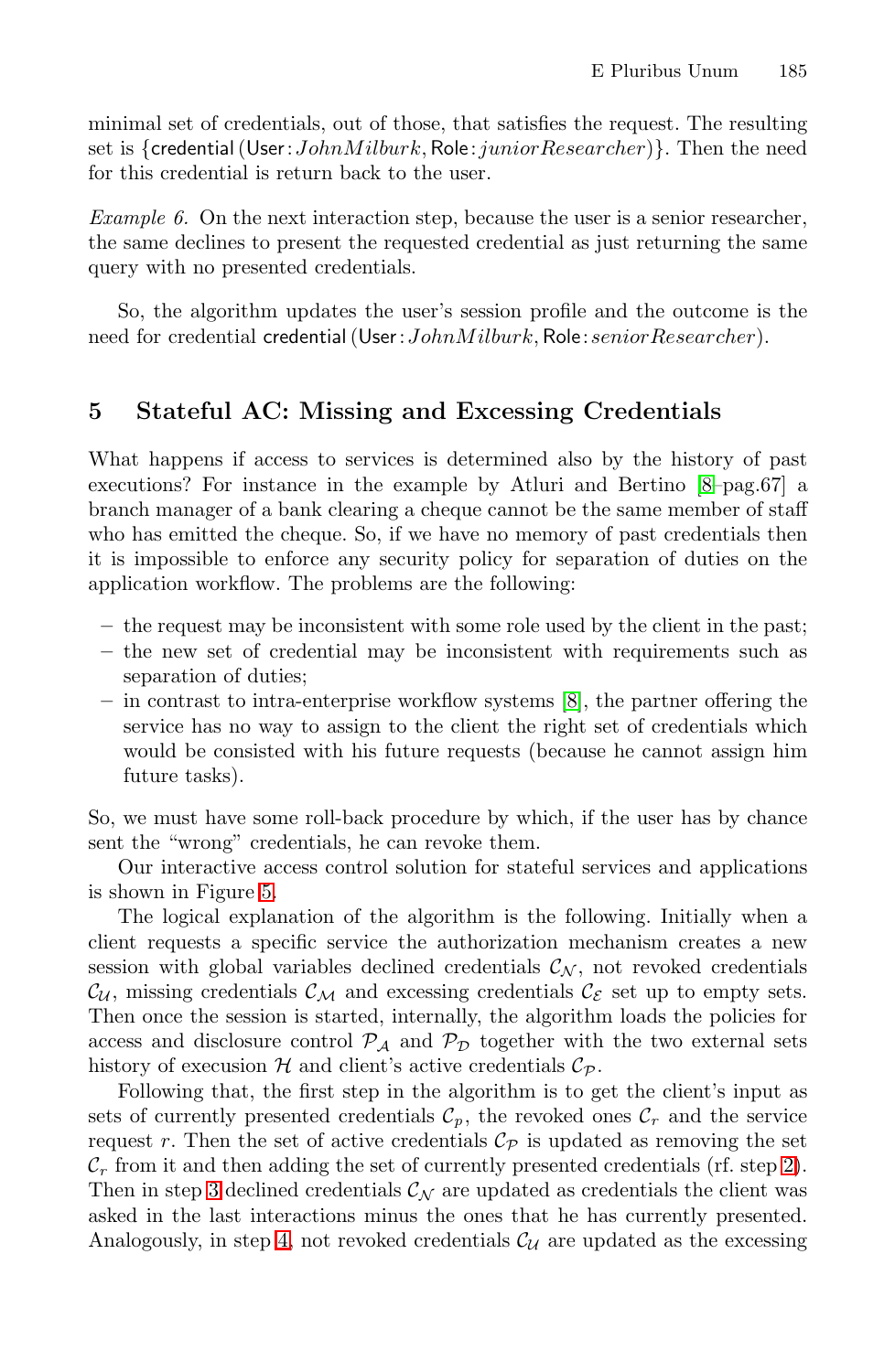minimal set of credentials, out of those, that satisfies the request. The resulting set is  ${c}$  credential (User: *JohnMilburk*, Role: *junior Researcher*)}. Then the need for this credential is return back to the user.

Example 6. On the next interaction step, because the user is a senior researcher, the same declines to present the requested credential as just returning the same query with no presented credentials.

So, the algorithm updates the user's session profile and the outcome is the need for credential credential (User: John Milburk, Role: senior Researcher).

## <span id="page-6-0"></span>5 Stateful AC: Missing and Excessing Credentials

What happens if access to services is determined also by the history of past executions? For instance in the example by Atluri and Bertino [\[8–](#page-11-8)pag.67] a branch manager of a bank clearing a cheque cannot be the same member of staff who has emitted the cheque. So, if we have no memory of past credentials then it is impossible to enforce any security policy for separation of duties on the application workflow. The problems are the following:

- the request may be inconsistent with some role used by the client in the past;
- the new set of credential may be inconsistent with requirements such as separation of duties;
- in contrast to intra-enterprise workflow systems [\[8\]](#page-11-8), the partner offering the service has no way to assign to the client the right set of credentials which would be consisted with his future requests (because he cannot assign him future tasks).

So, we must have some roll-back procedure by which, if the user has by chance sent the "wrong" credentials, he can revoke them.

Our interactive access control solution for stateful services and applications is shown in Figure [5.](#page-7-0)

The logical explanation of the algorithm is the following. Initially when a client requests a specific service the authorization mechanism creates a new session with global variables declined credentials  $\mathcal{C}_{\mathcal{N}}$ , not revoked credentials  $\mathcal{C}_{\mathcal{U}}$ , missing credentials  $\mathcal{C}_{\mathcal{M}}$  and excessing credentials  $\mathcal{C}_{\mathcal{E}}$  set up to empty sets. Then once the session is started, internally, the algorithm loads the policies for access and disclosure control  $P_A$  and  $P_D$  together with the two external sets history of execusion  $H$  and client's active credentials  $\mathcal{C}_{\mathcal{P}}$ .

Following that, the first step in the algorithm is to get the client's input as sets of currently presented credentials  $\mathcal{C}_p$ , the revoked ones  $\mathcal{C}_r$  and the service request r. Then the set of active credentials  $\mathcal{C}_{\mathcal{P}}$  is updated as removing the set  $\mathcal{C}_r$  from it and then adding the set of currently presented credentials (rf. step [2\)](#page-7-1). Then in step [3](#page-7-2) declined credentials  $\mathcal{C}_{N}$  are updated as credentials the client was asked in the last interactions minus the ones that he has currently presented. Analogously, in step [4,](#page-7-3) not revoked credentials  $\mathcal{C}_{\mathcal{U}}$  are updated as the excessing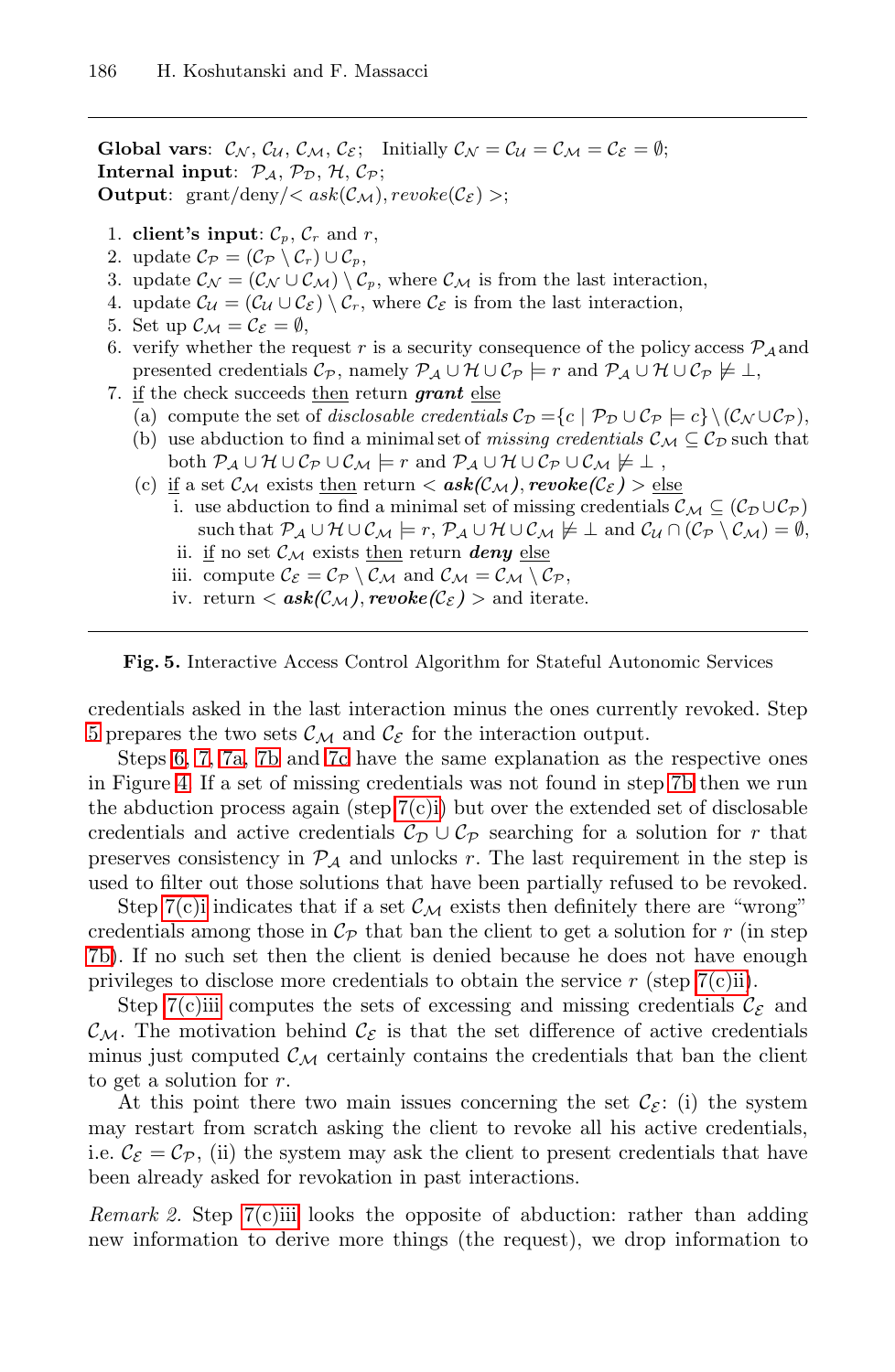Global vars:  $\mathcal{C}_{\mathcal{N}}$ ,  $\mathcal{C}_{\mathcal{U}}$ ,  $\mathcal{C}_{\mathcal{M}}$ ,  $\mathcal{C}_{\mathcal{E}}$ ; Initially  $\mathcal{C}_{\mathcal{N}} = \mathcal{C}_{\mathcal{U}} = \mathcal{C}_{\mathcal{M}} = \mathcal{C}_{\mathcal{E}} = \emptyset$ ; Internal input:  $\mathcal{P}_A$ ,  $\mathcal{P}_D$ ,  $\mathcal{H}$ ,  $\mathcal{C}_{\mathcal{P}}$ ; **Output**: grant/deny/ $\langle ask(\mathcal{C}_{\mathcal{M}}), revoke(\mathcal{C}_{\mathcal{E}}) \rangle$ ;

- <span id="page-7-1"></span>1. client's input:  $\mathcal{C}_p$ ,  $\mathcal{C}_r$  and r,
- <span id="page-7-2"></span>2. update  $\mathcal{C}_{\mathcal{P}} = (\mathcal{C}_{\mathcal{P}} \setminus \mathcal{C}_r) \cup \mathcal{C}_p$ ,
- <span id="page-7-3"></span>3. update  $\mathcal{C}_{\mathcal{N}} = (\mathcal{C}_{\mathcal{N}} \cup \mathcal{C}_{\mathcal{M}}) \setminus \mathcal{C}_{p}$ , where  $\mathcal{C}_{\mathcal{M}}$  is from the last interaction,
- <span id="page-7-4"></span>4. update  $\mathcal{C}_U = (\mathcal{C}_U \cup \mathcal{C}_{\varepsilon}) \setminus \mathcal{C}_r$ , where  $\mathcal{C}_{\varepsilon}$  is from the last interaction,
- <span id="page-7-5"></span>5. Set up  $\mathcal{C}_M = \mathcal{C}_{\mathcal{E}} = \emptyset$ ,
- 6. verify whether the request r is a security consequence of the policy access  $P_A$  and presented credentials  $\mathcal{C}_{\mathcal{P}}$ , namely  $\mathcal{P}_{\mathcal{A}} \cup \mathcal{H} \cup \mathcal{C}_{\mathcal{P}} \models r$  and  $\mathcal{P}_{\mathcal{A}} \cup \mathcal{H} \cup \mathcal{C}_{\mathcal{P}} \not\models \bot$ ,
- <span id="page-7-11"></span><span id="page-7-10"></span><span id="page-7-9"></span><span id="page-7-8"></span><span id="page-7-7"></span><span id="page-7-6"></span>7. if the check succeeds then return grant else
	- (a) compute the set of disclosable credentials  $C_{\mathcal{D}} = \{c \mid \mathcal{P}_{\mathcal{D}} \cup \mathcal{C}_{\mathcal{P}} \models c\} \setminus (\mathcal{C}_{\mathcal{N}} \cup \mathcal{C}_{\mathcal{P}}),$
	- (b) use abduction to find a minimal set of *missing credentials*  $\mathcal{C}_M \subseteq \mathcal{C}_D$  such that both  $P_A \cup \mathcal{H} \cup \mathcal{C}_{P} \cup \mathcal{C}_{M} \models r$  and  $P_A \cup \mathcal{H} \cup \mathcal{C}_{P} \cup \mathcal{C}_{M} \not\models \bot$ ,
	- (c) if a set  $\mathcal{C}_{\mathcal{M}}$  exists then return  $\langle ask(\mathcal{C}_{\mathcal{M}}), revoke(\mathcal{C}_{\mathcal{E}}) >$  else i. use abduction to find a minimal set of missing credentials  $\mathcal{C}_{\mathcal{M}} \subseteq (\mathcal{C}_{\mathcal{D}} \cup \mathcal{C}_{\mathcal{P}})$ such that  $\mathcal{P}_{\mathcal{A}} \cup \mathcal{H} \cup \mathcal{C}_{\mathcal{M}} \models r, \mathcal{P}_{\mathcal{A}} \cup \mathcal{H} \cup \mathcal{C}_{\mathcal{M}} \not\models \bot$  and  $\mathcal{C}_{\mathcal{U}} \cap (\mathcal{C}_{\mathcal{P}} \setminus \mathcal{C}_{\mathcal{M}}) = \emptyset$ ,
		- ii. if no set  $\mathcal{C}_{\mathcal{M}}$  exists then return deny else
		- iii. compute  $\mathcal{C}_{\mathcal{E}} = \mathcal{C}_{\mathcal{P}} \setminus \mathcal{C}_{\mathcal{M}}$  and  $\mathcal{C}_{\mathcal{M}} = \mathcal{C}_{\mathcal{M}} \setminus \mathcal{C}_{\mathcal{P}}$ ,
		- iv. return  $\langle ask(\mathcal{C}_{\mathcal{M}}), revoke(\mathcal{C}_{\mathcal{E}}) > \text{and iterate.}$

<span id="page-7-12"></span>Fig. 5. Interactive Access Control Algorithm for Stateful Autonomic Services

<span id="page-7-0"></span>credentials asked in the last interaction minus the ones currently revoked. Step [5](#page-7-4) prepares the two sets  $\mathcal{C}_{\mathcal{M}}$  and  $\mathcal{C}_{\mathcal{E}}$  for the interaction output.

Steps [6,](#page-7-5) [7,](#page-7-6) [7a,](#page-7-7) [7b](#page-7-8) and [7c](#page-7-9) have the same explanation as the respective ones in Figure [4.](#page-5-0) If a set of missing credentials was not found in step [7b](#page-7-8) then we run the abduction process again (step  $7(c)$ ) but over the extended set of disclosable credentials and active credentials  $C_{\mathcal{D}} \cup C_{\mathcal{P}}$  searching for a solution for r that preserves consistency in  $\mathcal{P}_A$  and unlocks r. The last requirement in the step is used to filter out those solutions that have been partially refused to be revoked.

Step [7\(c\)i](#page-7-10) indicates that if a set  $\mathcal{C}_{\mathcal{M}}$  exists then definitely there are "wrong" credentials among those in  $\mathcal{C}_{\mathcal{P}}$  that ban the client to get a solution for r (in step [7b\)](#page-7-8). If no such set then the client is denied because he does not have enough privileges to disclose more credentials to obtain the service  $r$  (step  $7(c)$ ii).

Step [7\(c\)iii](#page-7-12) computes the sets of excessing and missing credentials  $\mathcal{C}_{\mathcal{E}}$  and  $\mathcal{C}_M$ . The motivation behind  $\mathcal{C}_{\mathcal{E}}$  is that the set difference of active credentials minus just computed  $\mathcal{C}_{\mathcal{M}}$  certainly contains the credentials that ban the client to get a solution for r.

At this point there two main issues concerning the set  $\mathcal{C}_{\mathcal{E}}$ : (i) the system may restart from scratch asking the client to revoke all his active credentials, i.e.  $\mathcal{C}_{\mathcal{E}} = \mathcal{C}_{\mathcal{P}}$ , (ii) the system may ask the client to present credentials that have been already asked for revokation in past interactions.

Remark 2. Step [7\(c\)iii](#page-7-12) looks the opposite of abduction: rather than adding new information to derive more things (the request), we drop information to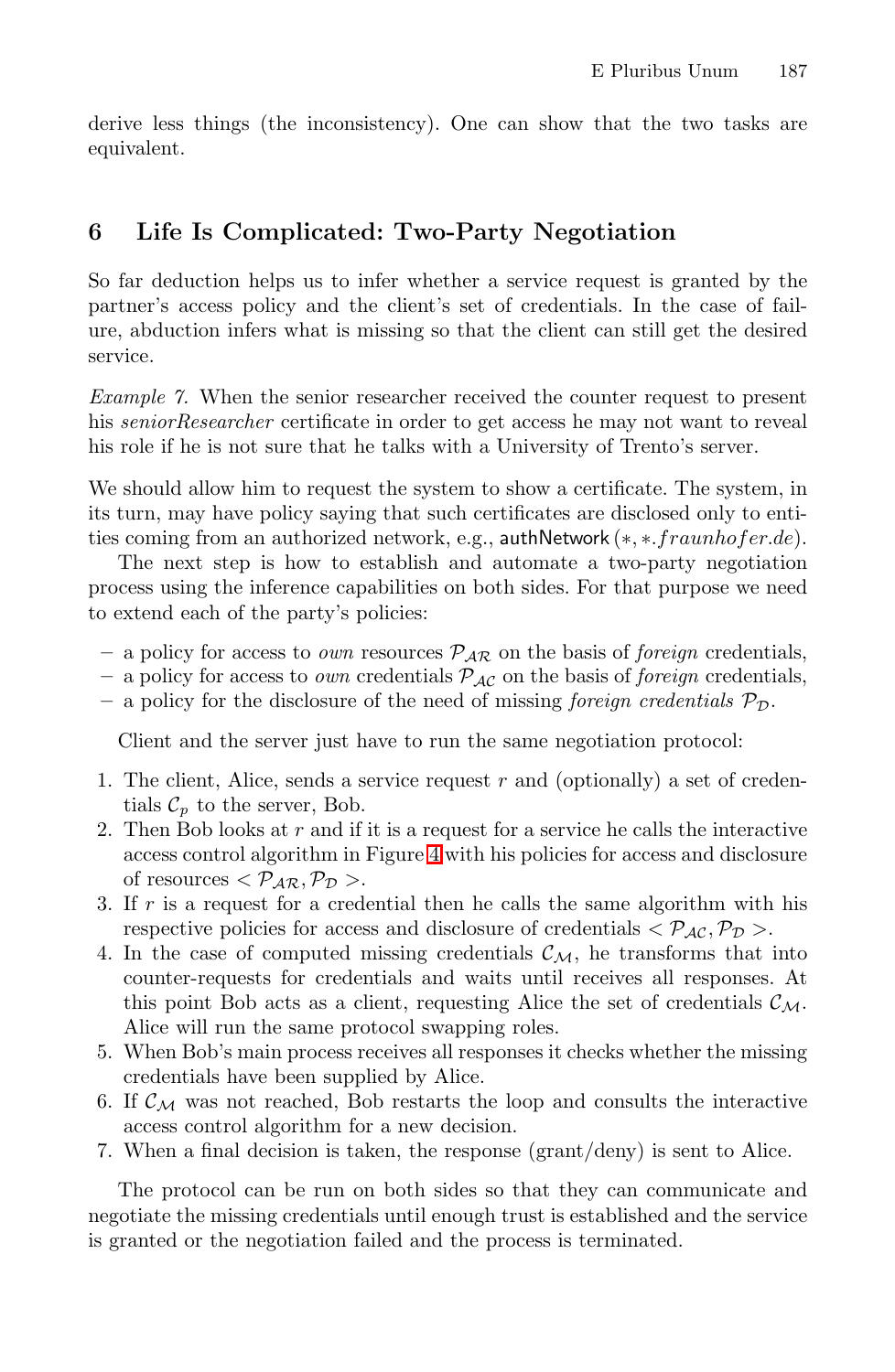derive less things (the inconsistency). One can show that the two tasks are equivalent.

## <span id="page-8-0"></span>6 Life Is Complicated: Two-Party Negotiation

So far deduction helps us to infer whether a service request is granted by the partner's access policy and the client's set of credentials. In the case of failure, abduction infers what is missing so that the client can still get the desired service.

Example 7. When the senior researcher received the counter request to present his *seniorResearcher* certificate in order to get access he may not want to reveal his role if he is not sure that he talks with a University of Trento's server.

We should allow him to request the system to show a certificate. The system, in its turn, may have policy saying that such certificates are disclosed only to entities coming from an authorized network, e.g., authNetwork (∗, ∗.fraunhofer.de).

The next step is how to establish and automate a two-party negotiation process using the inference capabilities on both sides. For that purpose we need to extend each of the party's policies:

- a policy for access to *own* resources  $P_{AR}$  on the basis of *foreign* credentials,
- a policy for access to *own* credentials  $P_{AC}$  on the basis of *foreign* credentials,
- a policy for the disclosure of the need of missing foreign credentials  $\mathcal{P}_{\mathcal{D}}$ .

Client and the server just have to run the same negotiation protocol:

- 1. The client, Alice, sends a service request  $r$  and (optionally) a set of credentials  $\mathcal{C}_p$  to the server, Bob.
- 2. Then Bob looks at r and if it is a request for a service he calls the interactive access control algorithm in Figure [4](#page-5-0) with his policies for access and disclosure of resources  $\langle \mathcal{P}_{AR}, \mathcal{P}_{D} \rangle$ .
- 3. If  $r$  is a request for a credential then he calls the same algorithm with his respective policies for access and disclosure of credentials  $\langle \mathcal{P}_{\mathcal{AC}}, \mathcal{P}_{\mathcal{D}} \rangle$ .
- 4. In the case of computed missing credentials  $\mathcal{C}_{\mathcal{M}}$ , he transforms that into counter-requests for credentials and waits until receives all responses. At this point Bob acts as a client, requesting Alice the set of credentials  $\mathcal{C}_{\mathcal{M}}$ . Alice will run the same protocol swapping roles.
- 5. When Bob's main process receives all responses it checks whether the missing credentials have been supplied by Alice.
- 6. If  $\mathcal{C}_{\mathcal{M}}$  was not reached, Bob restarts the loop and consults the interactive access control algorithm for a new decision.
- 7. When a final decision is taken, the response (grant/deny) is sent to Alice.

The protocol can be run on both sides so that they can communicate and negotiate the missing credentials until enough trust is established and the service is granted or the negotiation failed and the process is terminated.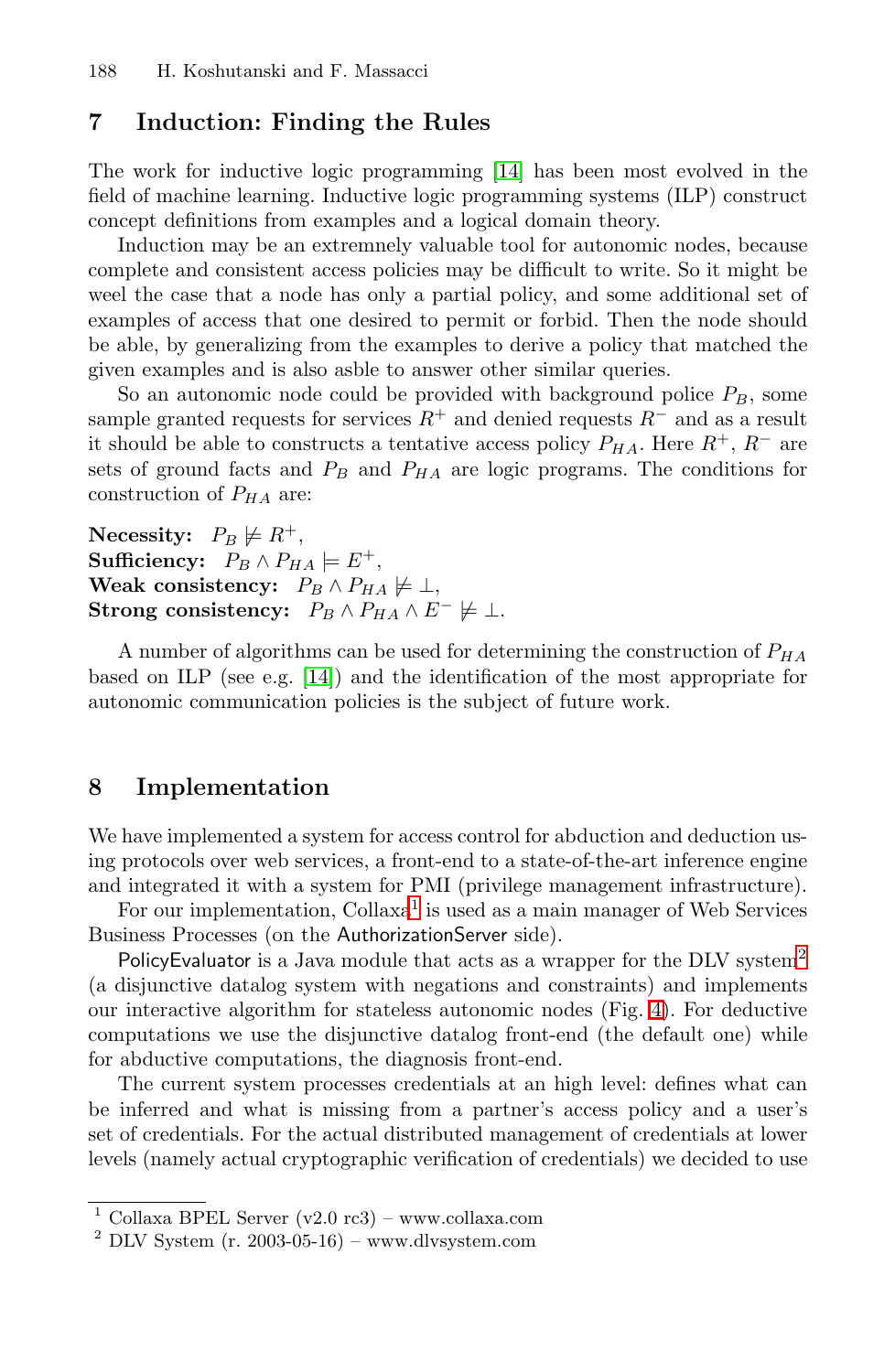### <span id="page-9-0"></span>7 Induction: Finding the Rules

The work for inductive logic programming [\[14\]](#page-11-14) has been most evolved in the field of machine learning. Inductive logic programming systems (ILP) construct concept definitions from examples and a logical domain theory.

Induction may be an extremnely valuable tool for autonomic nodes, because complete and consistent access policies may be difficult to write. So it might be weel the case that a node has only a partial policy, and some additional set of examples of access that one desired to permit or forbid. Then the node should be able, by generalizing from the examples to derive a policy that matched the given examples and is also asble to answer other similar queries.

So an autonomic node could be provided with background police  $P_B$ , some sample granted requests for services  $R^+$  and denied requests  $R^-$  and as a result it should be able to constructs a tentative access policy  $P_{HA}$ . Here  $R^+$ ,  $R^-$  are sets of ground facts and  $P_B$  and  $P_{HA}$  are logic programs. The conditions for construction of  $P_{HA}$  are:

Necessity:  $P_B \not\models R^+,$ Sufficiency:  $P_B \wedge P_{HA} \models E^+,$ Weak consistency:  $P_B \wedge P_{HA} \neq \bot$ , Strong consistency:  $P_B \wedge P_{HA} \wedge E^- \not\models \bot$ .

A number of algorithms can be used for determining the construction of  $P_{HA}$ based on ILP (see e.g. [\[14\]](#page-11-14)) and the identification of the most appropriate for autonomic communication policies is the subject of future work.

### 8 Implementation

We have implemented a system for access control for abduction and deduction using protocols over web services, a front-end to a state-of-the-art inference engine and integrated it with a system for PMI (privilege management infrastructure).

For our implementation, Collaxa<sup>[1](#page-9-1)</sup> is used as a main manager of Web Services Business Processes (on the AuthorizationServer side).

PolicyEvaluator is a Java module that acts as a wrapper for the DLV system<sup>[2](#page-9-2)</sup> (a disjunctive datalog system with negations and constraints) and implements our interactive algorithm for stateless autonomic nodes (Fig. [4\)](#page-5-0). For deductive computations we use the disjunctive datalog front-end (the default one) while for abductive computations, the diagnosis front-end.

The current system processes credentials at an high level: defines what can be inferred and what is missing from a partner's access policy and a user's set of credentials. For the actual distributed management of credentials at lower levels (namely actual cryptographic verification of credentials) we decided to use

<sup>&</sup>lt;sup>1</sup> Collaxa BPEL Server  $(v2.0 \text{ rc3})$  – www.collaxa.com

<span id="page-9-2"></span><span id="page-9-1"></span> $^{2}$  DLV System (r. 2003-05-16) – www.dlvsystem.com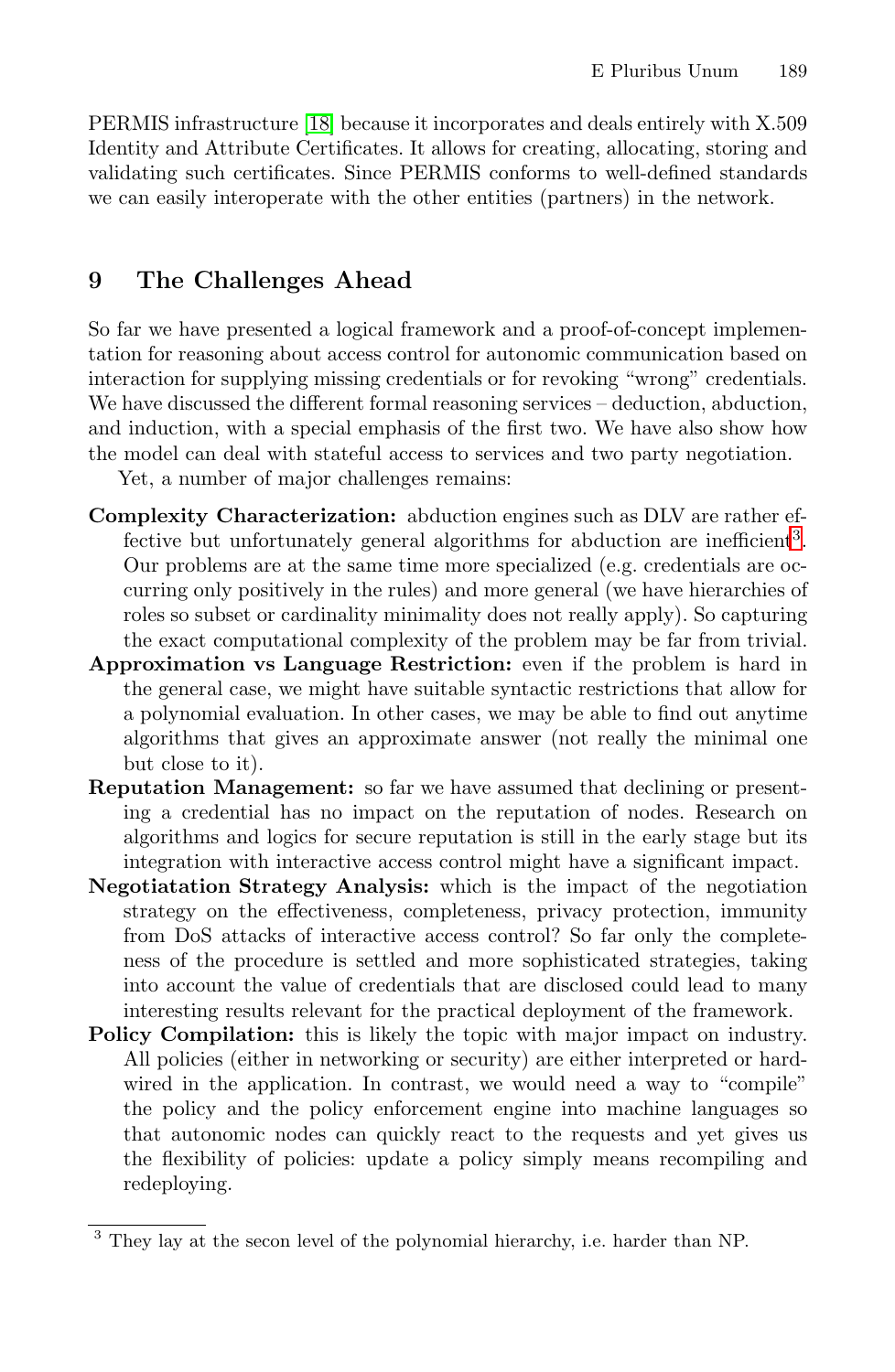PERMIS infrastructure [\[18\]](#page-11-18) because it incorporates and deals entirely with X.509 Identity and Attribute Certificates. It allows for creating, allocating, storing and validating such certificates. Since PERMIS conforms to well-defined standards we can easily interoperate with the other entities (partners) in the network.

# 9 The Challenges Ahead

So far we have presented a logical framework and a proof-of-concept implementation for reasoning about access control for autonomic communication based on interaction for supplying missing credentials or for revoking "wrong" credentials. We have discussed the different formal reasoning services – deduction, abduction, and induction, with a special emphasis of the first two. We have also show how the model can deal with stateful access to services and two party negotiation.

Yet, a number of major challenges remains:

- Complexity Characterization: abduction engines such as DLV are rather ef-fective but unfortunately general algorithms for abduction are inefficient<sup>[3](#page-10-0)</sup>. Our problems are at the same time more specialized (e.g. credentials are occurring only positively in the rules) and more general (we have hierarchies of roles so subset or cardinality minimality does not really apply). So capturing the exact computational complexity of the problem may be far from trivial.
- Approximation vs Language Restriction: even if the problem is hard in the general case, we might have suitable syntactic restrictions that allow for a polynomial evaluation. In other cases, we may be able to find out anytime algorithms that gives an approximate answer (not really the minimal one but close to it).
- Reputation Management: so far we have assumed that declining or presenting a credential has no impact on the reputation of nodes. Research on algorithms and logics for secure reputation is still in the early stage but its integration with interactive access control might have a significant impact.
- Negotiatation Strategy Analysis: which is the impact of the negotiation strategy on the effectiveness, completeness, privacy protection, immunity from DoS attacks of interactive access control? So far only the completeness of the procedure is settled and more sophisticated strategies, taking into account the value of credentials that are disclosed could lead to many interesting results relevant for the practical deployment of the framework.
- Policy Compilation: this is likely the topic with major impact on industry. All policies (either in networking or security) are either interpreted or hardwired in the application. In contrast, we would need a way to "compile" the policy and the policy enforcement engine into machine languages so that autonomic nodes can quickly react to the requests and yet gives us the flexibility of policies: update a policy simply means recompiling and redeploying.

<span id="page-10-0"></span> $^3$  They lay at the secon level of the polynomial hierarchy, i.e. harder than NP.  $\,$